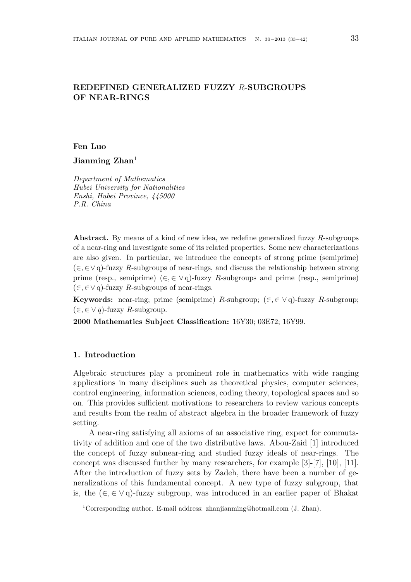# **REDEFINED GENERALIZED FUZZY** *R***-SUBGROUPS OF NEAR-RINGS**

### **Fen Luo**

**Jianming Zhan**<sup>1</sup>

*Department of Mathematics Hubei University for Nationalities Enshi, Hubei Province, 445000 P.R. China*

**Abstract.** By means of a kind of new idea, we redefine generalized fuzzy *R*-subgroups of a near-ring and investigate some of its related properties. Some new characterizations are also given. In particular, we introduce the concepts of strong prime (semiprime) (*∈, ∈∨* q)-fuzzy *R*-subgroups of near-rings, and discuss the relationship between strong prime (resp., semiprime) (*∈, ∈ ∨* q)-fuzzy *R*-subgroups and prime (resp., semiprime) (*∈, ∈∨* q)-fuzzy *R*-subgroups of near-rings.

**Keywords:** near-ring; prime (semiprime) *R*-subgroup;  $(\in, \in \vee q)$ -fuzzy *R*-subgroup;  $(\overline{\in}, \overline{\in} \vee \overline{q})$ -fuzzy *R*-subgroup.

**2000 Mathematics Subject Classification:** 16Y30; 03E72; 16Y99.

## **1. Introduction**

Algebraic structures play a prominent role in mathematics with wide ranging applications in many disciplines such as theoretical physics, computer sciences, control engineering, information sciences, coding theory, topological spaces and so on. This provides sufficient motivations to researchers to review various concepts and results from the realm of abstract algebra in the broader framework of fuzzy setting.

A near-ring satisfying all axioms of an associative ring, expect for commutativity of addition and one of the two distributive laws. Abou-Zaid [1] introduced the concept of fuzzy subnear-ring and studied fuzzy ideals of near-rings. The concept was discussed further by many researchers, for example [3]-[7], [10], [11]. After the introduction of fuzzy sets by Zadeh, there have been a number of generalizations of this fundamental concept. A new type of fuzzy subgroup, that is, the (*∈,∈ ∨* q)-fuzzy subgroup, was introduced in an earlier paper of Bhakat

<sup>1</sup>Corresponding author. E-mail address: zhanjianming@hotmail.com (J. Zhan).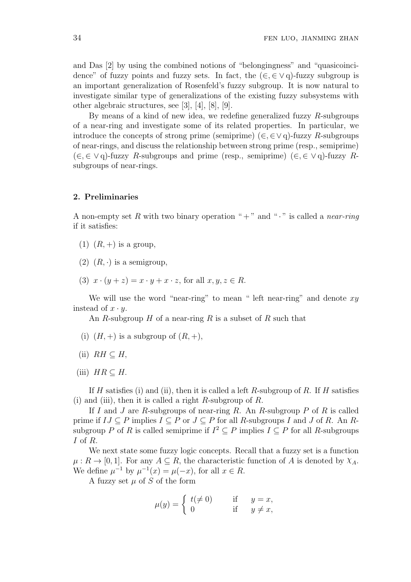and Das [2] by using the combined notions of "belongingness" and "quasicoincidence" of fuzzy points and fuzzy sets. In fact, the (*∈,∈ ∨* q)-fuzzy subgroup is an important generalization of Rosenfeld's fuzzy subgroup. It is now natural to investigate similar type of generalizations of the existing fuzzy subsystems with other algebraic structures, see [3], [4], [8], [9].

By means of a kind of new idea, we redefine generalized fuzzy *R*-subgroups of a near-ring and investigate some of its related properties. In particular, we introduce the concepts of strong prime (semiprime) ( $\in$ ,  $\in$  $\vee$  q)-fuzzy *R*-subgroups of near-rings, and discuss the relationship between strong prime (resp., semiprime) (*∈,∈ ∨* q)-fuzzy *R*-subgroups and prime (resp., semiprime) (*∈,∈ ∨* q)-fuzzy *R*subgroups of near-rings.

### **2. Preliminaries**

A non-empty set R with two binary operation " $+$ " and " $\cdot$ " is called a *near-ring* if it satisfies:

- $(1)$   $(R,+)$  is a group,
- $(2)$   $(R, \cdot)$  is a semigroup,
- (3)  $x \cdot (y + z) = x \cdot y + x \cdot z$ , for all  $x, y, z \in R$ .

We will use the word "near-ring" to mean " left near-ring" and denote *xy* instead of  $x \cdot y$ .

An *R*-subgroup *H* of a near-ring *R* is a subset of *R* such that

- (i)  $(H, +)$  is a subgroup of  $(R, +)$ ,
- $(iii)$  *RH* ⊂ *H*,
- $(iii)$  *HR*  $\subseteq$  *H.*

If *H* satisfies (i) and (ii), then it is called a left *R*-subgroup of *R*. If *H* satisfies (i) and (iii), then it is called a right *R*-subgroup of *R*.

If *I* and *J* are *R*-subgroups of near-ring *R*. An *R*-subgroup *P* of *R* is called prime if  $IJ \subseteq P$  implies  $I \subseteq P$  or  $J \subseteq P$  for all *R*-subgroups *I* and *J* of *R*. An *R*subgroup *P* of *R* is called semiprime if  $I^2 \subseteq P$  implies  $I \subseteq P$  for all *R*-subgroups *I* of *R*.

We next state some fuzzy logic concepts. Recall that a fuzzy set is a function  $\mu: R \to [0, 1]$ . For any  $A \subseteq R$ , the characteristic function of *A* is denoted by  $\chi_A$ . We define  $\mu^{-1}$  by  $\mu^{-1}(x) = \mu(-x)$ , for all  $x \in R$ .

A fuzzy set *µ* of *S* of the form

$$
\mu(y) = \begin{cases} t(\neq 0) & \text{if } y = x, \\ 0 & \text{if } y \neq x, \end{cases}
$$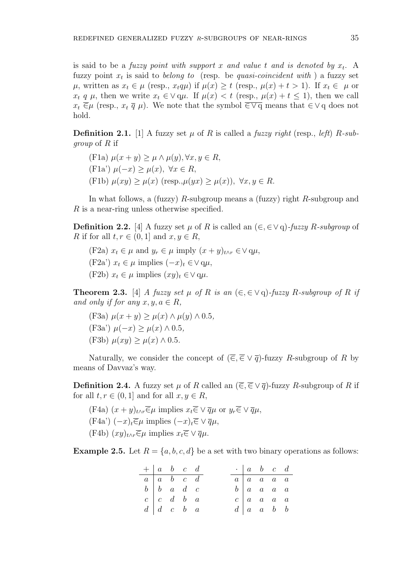is said to be a *fuzzy point with support x and value t and is denoted by x<sup>t</sup>* . A fuzzy point *x<sup>t</sup>* is said to *belong to* (resp. be *quasi-coincident with* ) a fuzzy set  $\mu$ , written as  $x_t \in \mu$  (resp.,  $x_t q \mu$ ) if  $\mu(x) \geq t$  (resp.,  $\mu(x) + t > 1$ ). If  $x_t \in \mu$  or  $x_t$  *q*  $\mu$ , then we write  $x_t \in \vee$  q $\mu$ . If  $\mu(x) < t$  (resp.,  $\mu(x) + t \leq 1$ ), then we call  $x_t \, \overline{\in} \mu$  (resp.,  $x_t \, \overline{q} \, \mu$ ). We note that the symbol  $\overline{\in} \vee \overline{q}$  means that  $\in \vee \overline{q}$  does not hold.

**Definition 2.1.** [1] A fuzzy set  $\mu$  of  $R$  is called a *fuzzy right* (resp., *left*)  $R$ *-subgroup* of *R* if

 $\mu(x + y) > \mu \wedge \mu(y), \forall x, y \in R,$ (F1a') *µ*(*−x*) *≥ µ*(*x*)*, ∀x ∈ R*,  $\mu(xy) \geq \mu(x)$  (resp.,  $\mu(yx) \geq \mu(x)$ ),  $\forall x, y \in R$ .

In what follows, a (fuzzy) *R*-subgroup means a (fuzzy) right *R*-subgroup and *R* is a near-ring unless otherwise specified.

**Definition 2.2.** [4] A fuzzy set  $\mu$  of  $R$  is called an  $(\epsilon, \epsilon \vee q)$ -fuzzy  $R$ -subgroup of *R* if for all  $t, r \in (0, 1]$  and  $x, y \in R$ ,

 $(F2a)$   $x_t \in \mu$  and  $y_r \in \mu$  imply  $(x+y)_{t \wedge r} \in \vee \infty$ ,  $(F2a')$   $x_t \in \mu$  implies  $(-x)_t \in ∨ q\mu$ ,  $(F2b)$   $x_t \in \mu$  implies  $(xy)_t \in \vee q\mu$ .

**Theorem 2.3.** [4] *A fuzzy set*  $\mu$  *of*  $R$  *is an*  $(\epsilon, \epsilon \vee q)$ *-fuzzy*  $R$ *-subgroup of*  $R$  *if and only if for any*  $x, y, a \in R$ ,

(F3a) *µ*(*x* + *y*) *≥ µ*(*x*) *∧ µ*(*y*) *∧* 0*.*5*,* (F3a') *µ*(*−x*) *≥ µ*(*x*) *∧* 0*.*5*,*  $(\text{F3b}) \mu(xy) > \mu(x) \wedge 0.5$ .

Naturally, we consider the concept of  $(\overline{\epsilon}, \overline{\epsilon} \vee \overline{q})$ -fuzzy *R*-subgroup of *R* by means of Davvaz's way.

**Definition 2.4.** A fuzzy set  $\mu$  of *R* called an  $(\overline{\epsilon}, \overline{\epsilon} \vee \overline{q})$ -fuzzy *R*-subgroup of *R* if for all  $t, r \in (0, 1]$  and for all  $x, y \in R$ ,

 $(F4a)$   $(x + y)_{t \wedge r} \overline{\in} \mu$  implies  $x_t \overline{\in} \vee \overline{q} \mu$  or  $y_r \overline{\in} \vee \overline{q} \mu$ , (F4a') (*−x*)*t∈µ* implies (*−x*)*t∈ ∨ qµ*,  $(F4b)$   $(xy)_{t\wedge r} \equiv \mu$  implies  $x_t \equiv \sqrt{q}\mu$ .

**Example 2.5.** Let  $R = \{a, b, c, d\}$  be a set with two binary operations as follows:

|                                                 | $+ a b c d$                                     |  |  |  | $\cdot \begin{array}{ccc} a & b & c & d \end{array}$ |  |
|-------------------------------------------------|-------------------------------------------------|--|--|--|------------------------------------------------------|--|
|                                                 | $a \mid a \mid b \mid c \mid d$                 |  |  |  | $a \mid a \mid a \mid a \mid a$                      |  |
| $b \begin{vmatrix} b & a & d & c \end{vmatrix}$ |                                                 |  |  |  | $b \mid a \mid a \mid a \mid a$                      |  |
|                                                 | $c \begin{vmatrix} c & d & b & a \end{vmatrix}$ |  |  |  | $c \mid a \mid a \mid a \mid a$                      |  |
|                                                 | $d \mid d \mid c \mid b \mid a$                 |  |  |  | $d \mid a \mid a \mid b \mid b$                      |  |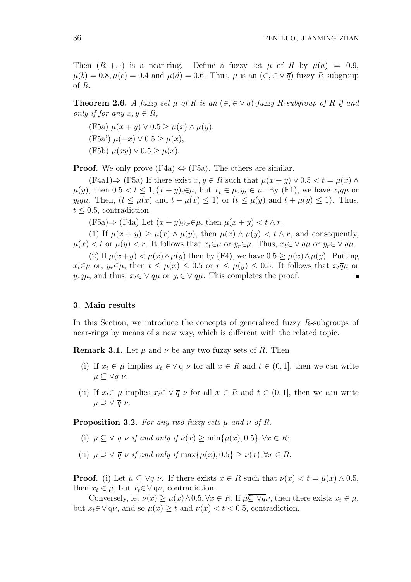Then  $(R, +, \cdot)$  is a near-ring. Define a fuzzy set  $\mu$  of  $R$  by  $\mu(a) = 0.9$ ,  $\mu(b) = 0.8, \mu(c) = 0.4$  and  $\mu(d) = 0.6$ . Thus,  $\mu$  is an  $(\overline{\epsilon}, \overline{\epsilon} \vee \overline{q})$ -fuzzy *R*-subgroup of *R*.

**Theorem 2.6.** *A fuzzy set*  $\mu$  *of*  $R$  *is an* ( $\overline{\epsilon}, \overline{\epsilon} \vee \overline{q}$ )*-fuzzy*  $R$ *-subgroup of*  $R$  *if and only if for any*  $x, y \in R$ ,

(F5a) *µ*(*x* + *y*) *∨* 0*.*5 *≥ µ*(*x*) *∧ µ*(*y*), (F5a') *µ*(*−x*) *∨* 0*.*5 *≥ µ*(*x*),  $(F5b) \mu(xy) \vee 0.5 \geq \mu(x)$ .

**Proof.** We only prove  $(F4a) \Leftrightarrow (F5a)$ . The others are similar.

 $(F4a1) \Rightarrow (F5a)$  If there exist  $x, y \in R$  such that  $\mu(x+y) \vee 0.5 < t = \mu(x) \wedge$  $\mu(y)$ , then  $0.5 < t \leq 1$ ,  $(x+y)_t \overline{\in} \mu$ , but  $x_t \in \mu$ ,  $y_t \in \mu$ . By (F1), we have  $x_t \overline{q} \mu$  or *y*<sup>*t*</sup><sub>*qu*</sub>. Then, (*t <*  $\mu(x)$  and  $t + \mu(x)$  *<* 1) or (*t <*  $\mu(y)$  and  $t + \mu(y)$  < 1). Thus,  $t \leq 0.5$ , contradiction.

 $(F5a) \Rightarrow (F4a)$  Let  $(x + y)_{t \wedge r} \in \mu$ , then  $\mu(x + y) < t \wedge r$ .

(1) If  $\mu(x + y) > \mu(x) \wedge \mu(y)$ , then  $\mu(x) \wedge \mu(y) < t \wedge r$ , and consequently,  $\mu(x) < t$  or  $\mu(y) < r$ . It follows that  $x_t \overline{\in} \mu$  or  $y_r \overline{\in} \mu$ . Thus,  $x_t \overline{\in} \vee \overline{q} \mu$  or  $y_r \overline{\in} \vee \overline{q} \mu$ .

(2) If  $\mu(x+y) < \mu(x) \wedge \mu(y)$  then by (F4), we have  $0.5 \geq \mu(x) \wedge \mu(y)$ . Putting  $x_t \overline{\in} \mu$  or,  $y_r \overline{\in} \mu$ , then  $t \leq \mu(x) \leq 0.5$  or  $r \leq \mu(y) \leq 0.5$ . It follows that  $x_t \overline{q} \mu$  or  $y_r \overline{q} \mu$ , and thus,  $x_t \overline{\in} \vee \overline{q} \mu$  or  $y_r \overline{\in} \vee \overline{q} \mu$ . This completes the proof.

### **3. Main results**

In this Section, we introduce the concepts of generalized fuzzy *R*-subgroups of near-rings by means of a new way, which is different with the related topic.

**Remark 3.1.** Let  $\mu$  and  $\nu$  be any two fuzzy sets of *R*. Then

- (i) If  $x_t \in \mu$  implies  $x_t \in \vee \varphi$  *v* for all  $x \in R$  and  $t \in (0,1]$ , then we can write *µ ⊆ ∨q ν*.
- (ii) If  $x_t \overline{\in} \mu$  implies  $x_t \overline{\in} \vee \overline{q} \nu$  for all  $x \in R$  and  $t \in (0,1]$ , then we can write  $\mu \supseteq \vee \overline{q} \nu$ .

**Proposition 3.2.** For any two fuzzy sets  $\mu$  and  $\nu$  of  $R$ .

- (i)  $\mu \subset \vee$  *q*  $\nu$  *if and only if*  $\nu(x) > \min\{\mu(x), 0.5\}, \forall x \in R$ ;
- (ii)  $\mu \supset \vee \overline{q} \nu$  *if and only if* max $\{\mu(x), 0.5\} > \nu(x), \forall x \in R$ .

**Proof.** (i) Let  $\mu \subseteq \forall q \nu$ . If there exists  $x \in R$  such that  $\nu(x) < t = \mu(x) \wedge 0.5$ , then  $x_t \in \mu$ , but  $x_t \in \forall \mathbf{q} \nu$ , contradiction.

Conversely, let  $\nu(x) \geq \mu(x) \wedge 0.5, \forall x \in R$ . If  $\mu \subseteq \forall q \nu$ , then there exists  $x_t \in \mu$ , but  $x_t \in \nabla \varphi$ , and so  $\mu(x) \geq t$  and  $\nu(x) < t < 0.5$ , contradiction.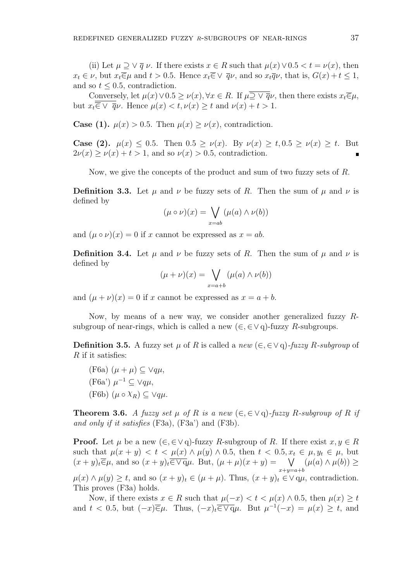(ii) Let  $\mu \supseteq \vee \overline{q} \nu$ . If there exists  $x \in R$  such that  $\mu(x) \vee 0.5 < t = \nu(x)$ , then  $x_t \in \nu$ , but  $x_t \overline{\in} \mu$  and  $t > 0.5$ . Hence  $x_t \overline{\in} \vee \overline{q} \nu$ , and so  $x_t \overline{q} \nu$ , that is,  $G(x) + t \leq 1$ , and so  $t \leq 0.5$ , contradiction.

Conversely, let  $\mu(x) \vee 0.5 \geq \nu(x), \forall x \in R$ . If  $\mu \overline{\supseteq} \vee \overline{q} \nu$ , then there exists  $x_t \overline{\in} \mu$ , but  $x_t \overline{\overline{\epsilon}} \vee \overline{q} \nu$ . Hence  $\mu(x) < t$ ,  $\nu(x) \geq t$  and  $\nu(x) + t > 1$ .

**Case (1).**  $\mu(x) > 0.5$ . Then  $\mu(x) > \nu(x)$ , contradiction.

**Case (2).**  $\mu(x) \leq 0.5$ . Then  $0.5 \geq \nu(x)$ . By  $\nu(x) \geq t$ ,  $0.5 \geq \nu(x) \geq t$ . But  $2\nu(x) \geq \nu(x) + t > 1$ , and so  $\nu(x) > 0.5$ , contradiction.

Now, we give the concepts of the product and sum of two fuzzy sets of *R*.

**Definition 3.3.** Let  $\mu$  and  $\nu$  be fuzzy sets of *R*. Then the sum of  $\mu$  and  $\nu$  is defined by

$$
(\mu \circ \nu)(x) = \bigvee_{x=ab} (\mu(a) \land \nu(b))
$$

and  $(\mu \circ \nu)(x) = 0$  if *x* cannot be expressed as  $x = ab$ .

**Definition 3.4.** Let  $\mu$  and  $\nu$  be fuzzy sets of *R*. Then the sum of  $\mu$  and  $\nu$  is defined by

$$
(\mu + \nu)(x) = \bigvee_{x=a+b} (\mu(a) \wedge \nu(b))
$$

and  $(\mu + \nu)(x) = 0$  if *x* cannot be expressed as  $x = a + b$ .

Now, by means of a new way, we consider another generalized fuzzy *R*subgroup of near-rings, which is called a new  $(\in, \in \vee q)$ -fuzzy *R*-subgroups.

**Definition 3.5.** A fuzzy set  $\mu$  of  $R$  is called a *new* ( $\in$ ,  $\in$  $\vee$  q)*-fuzzy*  $R$ *-subgroup* of *R* if it satisfies:

(F6a) 
$$
(\mu + \mu) \subseteq \forall q\mu
$$
,  
\n(F6a')  $\mu^{-1} \subseteq \forall q\mu$ ,  
\n(F6b)  $(\mu \circ \chi_R) \subseteq \forall q\mu$ .

**Theorem 3.6.** *A fuzzy set*  $\mu$  *of*  $R$  *is a new*  $(\epsilon, \epsilon \vee q)$ -*fuzzy*  $R$ -*subgroup of*  $R$  *if and only if it satisfies* (F3a), (F3a') and (F3b).

**Proof.** Let  $\mu$  be a new  $(\epsilon, \epsilon \vee q)$ -fuzzy *R*-subgroup of *R*. If there exist  $x, y \in R$ such that  $\mu(x + y) < t < \mu(x) \wedge \mu(y) \wedge 0.5$ , then  $t < 0.5, x_t \in \mu, y_t \in \mu$ , but  $(x + y)_t \overline{\in} \mu$ , and so  $(x + y)_t \overline{\in} \nabla \overline{q} \mu$ . But,  $(\mu + \mu)(x + y) = \nabla$ *x*+*y*=*a*+*b*  $(\mu(a) \land \mu(b))$  ≥  $\mu(x) \wedge \mu(y) \geq t$ , and so  $(x + y)_t \in (\mu + \mu)$ . Thus,  $(x + y)_t \in V$  q $\mu$ , contradiction. This proves (F3a) holds.

Now, if there exists  $x \in R$  such that  $\mu(-x) < t < \mu(x) \wedge 0.5$ , then  $\mu(x) \geq t$ and  $t < 0.5$ , but  $(-x)\overline{\in}\mu$ . Thus,  $(-x)_t\overline{\in}\sqrt{q}\mu$ . But  $\mu^{-1}(-x) = \mu(x) \ge t$ , and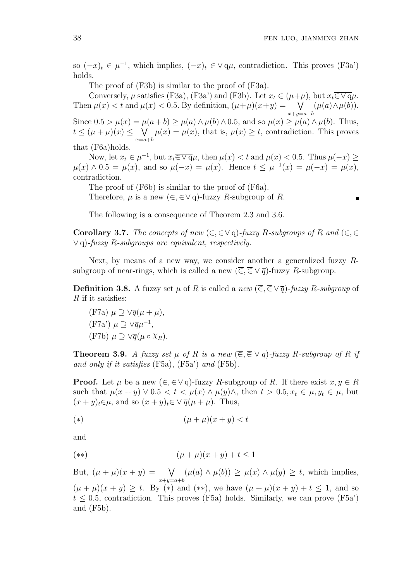$\blacksquare$ 

so  $(-x)_t \in \mu^{-1}$ , which implies,  $(-x)_t \in \vee q\mu$ , contradiction. This proves (F3a') holds.

The proof of (F3b) is similar to the proof of (F3a).

Conversely,  $\mu$  satisfies (F3a), (F3a') and (F3b). Let  $x_t \in (\mu + \mu)$ , but  $x_t \in \nabla \varphi \mu$ . Then  $\mu(x) < t$  and  $\mu(x) < 0.5$ . By definition,  $(\mu + \mu)(x + y) = \sqrt{2\pi}$ *x*+*y*=*a*+*b*  $(\mu(a) \wedge \mu(b)).$ Since  $0.5 > \mu(x) = \mu(a+b) \ge \mu(a) \wedge \mu(b) \wedge 0.5$ , and so  $\mu(x) \ge \mu(a) \wedge \mu(b)$ . Thus,  $t \leq (\mu + \mu)(x) \leq \sqrt{\mu(x)} = \mu(x)$ , that is,  $\mu(x) \geq t$ , contradiction. This proves *x*=*a*+*b* that (F6a)holds.

Now, let  $x_t \in \mu^{-1}$ , but  $x_t \in \nabla \overline{q} \mu$ , then  $\mu(x) < t$  and  $\mu(x) < 0.5$ . Thus  $\mu(-x) \ge$  $\mu(x) \wedge 0.5 = \mu(x)$ , and so  $\mu(-x) = \mu(x)$ . Hence  $t \leq \mu^{-1}(x) = \mu(-x) = \mu(x)$ , contradiction.

The proof of (F6b) is similar to the proof of (F6a).

Therefore,  $\mu$  is a new  $(\in, \in \vee \cap)$ -fuzzy *R*-subgroup of *R*.

The following is a consequence of Theorem 2.3 and 3.6.

**Corollary 3.7.** The concepts of new  $(\in, \in \vee \subseteq \subseteq)$ -fuzzy *R*-subgroups of *R* and  $(\in, \in \subseteq)$ *∨* q)*-fuzzy R-subgroups are equivalent, respectively.*

Next, by means of a new way, we consider another a generalized fuzzy *R*subgroup of near-rings, which is called a new  $(\overline{\epsilon}, \overline{\epsilon} \vee \overline{q})$ -fuzzy *R*-subgroup.

**Definition 3.8.** A fuzzy set  $\mu$  of *R* is called a *new* ( $\overline{\epsilon}, \overline{\epsilon} \vee \overline{q}$ )*-fuzzy R-subgroup* of *R* if it satisfies:

(F7a) 
$$
\mu \supseteq \sqrt{q}(\mu + \mu)
$$
,  
(F7a')  $\mu \supseteq \sqrt{q}\mu^{-1}$ ,  
(F7b)  $\mu \supseteq \sqrt{q}(\mu \circ \chi_R)$ .

**Theorem 3.9.** *A fuzzy set µ of R is a new*  $(\overline{\epsilon}, \overline{\epsilon} \vee \overline{q})$ *-fuzzy R-subgroup of R if and only if it satisfies* (F5a), (F5a') *and* (F5b).

**Proof.** Let  $\mu$  be a new  $(\epsilon, \epsilon \vee q)$ -fuzzy *R*-subgroup of *R*. If there exist  $x, y \in R$ such that  $\mu(x+y) \vee 0.5 < t < \mu(x) \wedge \mu(y)$ , then  $t > 0.5, x_t \in \mu, y_t \in \mu$ , but  $(x + y)_t \overline{\in} \mu$ , and so  $(x + y)_t \overline{\in} \vee \overline{q}(\mu + \mu)$ . Thus,

$$
(*)\qquad \qquad (\mu+\mu)(x+y)
$$

and

$$
(**) \qquad (\mu + \mu)(x + y) + t \le 1
$$

But,  $(\mu + \mu)(x + y) = \sqrt{2\pi}$ *x*+*y*=*a*+*b*  $(\mu(a) \land \mu(b)) \ge \mu(x) \land \mu(y) \ge t$ , which implies,  $(\mu + \mu)(x + y) \geq t$ . By (\*) and (\*\*), we have  $(\mu + \mu)(x + y) + t \leq 1$ , and so  $t \leq 0.5$ , contradiction. This proves (F5a) holds. Similarly, we can prove (F5a') and (F5b).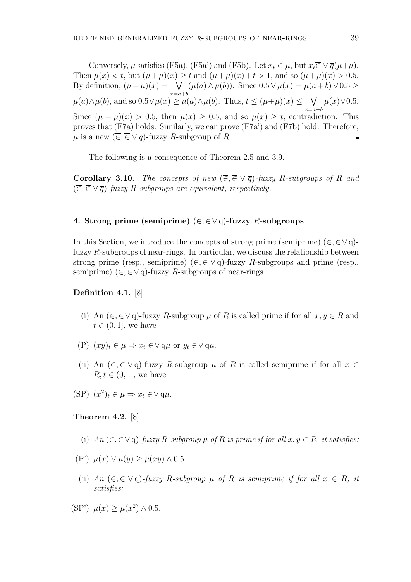Conversely,  $\mu$  satisfies (F5a), (F5a') and (F5b). Let  $x_t \in \mu$ , but  $x_t \overline{\overline{\epsilon} \vee \overline{q}}(\mu+\mu)$ . Then  $\mu(x) < t$ , but  $(\mu + \mu)(x) \ge t$  and  $(\mu + \mu)(x) + t > 1$ , and so  $(\mu + \mu)(x) > 0.5$ . By definition,  $(\mu + \mu)(x) = \sqrt{ }$ *x*=*a*+*b* (*µ*(*a*)*∧µ*(*b*)). Since 0*.*5*∨µ*(*x*) = *µ*(*a* + *b*)*∨*0*.*5 *≥ µ*(*a*)*∧µ*(*b*), and so 0.5 $\vee$ *µ*(*x*)  $\geq$  *µ*(*a*)*∧µ*(*b*). Thus, *t* ≤ (*µ*+*µ*)(*x*) ≤  $\vee$ *x*=*a*+*b*  $\mu(x) \vee 0.5$ . Since  $(\mu + \mu)(x) > 0.5$ , then  $\mu(x) \geq 0.5$ , and so  $\mu(x) \geq t$ , contradiction. This proves that (F7a) holds. Similarly, we can prove (F7a') and (F7b) hold. Therefore,  $\mu$  is a new  $(\overline{\epsilon}, \overline{\epsilon} \vee \overline{q})$ -fuzzy *R*-subgroup of *R*.

The following is a consequence of Theorem 2.5 and 3.9.

**Corollary 3.10.** *The concepts of new*  $(\overline{\epsilon}, \overline{\epsilon} \vee \overline{q})$ *-fuzzy R-subgroups of R* and (*∈,∈ ∨ q*)*-fuzzy R-subgroups are equivalent, respectively.*

## **4. Strong prime (semiprime)** (*∈, ∈∨* q)**-fuzzy** *R***-subgroups**

In this Section, we introduce the concepts of strong prime (semiprime) ( $\in$ , $\in$  $\vee$  q)fuzzy *R*-subgroups of near-rings. In particular, we discuss the relationship between strong prime (resp., semiprime)  $(\in, \in \vee \neq)$ -fuzzy *R*-subgroups and prime (resp., semiprime)  $(\in, \in \vee \neq)$ -fuzzy *R*-subgroups of near-rings.

# **Definition 4.1.** [8]

- (i) An ( $\in$ ,  $\in$   $\vee$   $\varphi$ )-fuzzy *R*-subgroup *µ* of *R* is called prime if for all *x*, *y*  $\in$  *R* and  $t \in (0, 1]$ , we have
- $(P)$   $(xy)_t \in \mu \Rightarrow x_t \in \vee q\mu$  or  $y_t \in \vee q\mu$ .
- (ii) An  $(\in, \in \vee \neq)$ -fuzzy *R*-subgroup  $\mu$  of *R* is called semiprime if for all  $x \in$  $R, t \in (0, 1]$ , we have
- $(SP)$   $(x^2)_t \in \mu \Rightarrow x_t \in \vee q\mu.$

## **Theorem 4.2.** [8]

- (i)  $An \ (\in, \in \vee \cap)$ -fuzzy  $R$ -subgroup  $\mu$  of  $R$  is prime if for all  $x, y \in R$ , it satisfies:
- $(\mathbf{P}') \mu(x) \vee \mu(y) > \mu(xy) \wedge 0.5.$
- (ii) *An*  $(\epsilon, \epsilon \vee q)$ -fuzzy *R*-subgroup  $\mu$  of *R* is semiprime if for all  $x \in R$ , it *satisfies:*
- $(\text{SP}') \mu(x) \geq \mu(x^2) \wedge 0.5$ .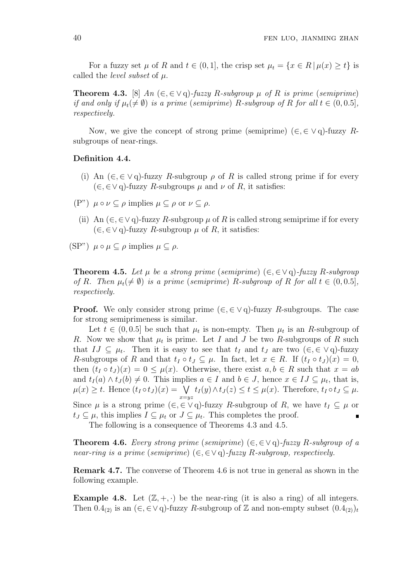For a fuzzy set  $\mu$  of  $R$  and  $t \in (0,1]$ , the crisp set  $\mu_t = \{x \in R \mid \mu(x) \geq t\}$  is called the *level subset* of *µ*.

**Theorem 4.3.** [8]  $An \ (\in, \in \vee \cap)$ -fuzzy *R*-subgroup  $\mu$  of *R* is prime (semiprime) *if and only if*  $\mu_t(\neq \emptyset)$  *is a prime (semiprime) R-subgroup of R for all*  $t \in (0, 0.5]$ *, respectively.*

Now, we give the concept of strong prime (semiprime)  $(\in, \in \vee \neq \emptyset)$ -fuzzy *R*subgroups of near-rings.

### **Definition 4.4.**

- (i) An  $(\infty, \in \vee q)$ -fuzzy *R*-subgroup  $\rho$  of *R* is called strong prime if for every (*∈, ∈∨* q)-fuzzy *R*-subgroups *µ* and *ν* of *R*, it satisfies:
- $(P^{\prime\prime})$   $\mu \circ \nu \subset \rho$  implies  $\mu \subset \rho$  or  $\nu \subset \rho$ .
	- (ii) An  $(\in, \in \vee \cap)$ -fuzzy *R*-subgroup  $\mu$  of *R* is called strong semiprime if for every  $(∈, ∈ ∨ q)$ -fuzzy *R*-subgroup  $\mu$  of *R*, it satisfies:

 $(SP") \mu \circ \mu \subset \rho$  implies  $\mu \subset \rho$ .

**Theorem 4.5.** Let  $\mu$  be a strong prime (semiprime)  $(\in \in \vee \cap)$ -fuzzy *R*-subgroup *of R.* Then  $\mu_t(\neq \emptyset)$  *is a prime* (*semiprime*) *R-subgroup of R for all*  $t \in (0, 0.5]$ *, respectively.*

**Proof.** We only consider strong prime  $(\in, \in \vee \neq \emptyset)$ -fuzzy *R*-subgroups. The case for strong semiprimeness is similar.

Let  $t \in (0, 0.5]$  be such that  $\mu_t$  is non-empty. Then  $\mu_t$  is an *R*-subgroup of *R*. Now we show that  $\mu_t$  is prime. Let *I* and *J* be two *R*-subgroups of *R* such that  $IJ \subseteq \mu_t$ . Then it is easy to see that  $t_I$  and  $t_J$  are two  $(\in, \in \vee q)$ -fuzzy *R*-subgroups of *R* and that  $t_I \circ t_J \subseteq \mu$ . In fact, let  $x \in R$ . If  $(t_I \circ t_J)(x) = 0$ , then  $(t_I \circ t_J)(x) = 0 \leq \mu(x)$ . Otherwise, there exist  $a, b \in R$  such that  $x = ab$ and  $t_I(a) \wedge t_J(b) \neq 0$ . This implies  $a \in I$  and  $b \in J$ , hence  $x \in IJ \subseteq \mu_t$ , that is,  $\mu(x) \geq t$ . Hence  $(t_I \circ t_J)(x) = \sqrt{t}$ *x*=*yz*  $t_I(y) \wedge t_J(z) \le t \le \mu(x)$ . Therefore,  $t_I \circ t_J \subseteq \mu$ . Since  $\mu$  is a strong prime  $(\epsilon, \epsilon \vee q)$ -fuzzy *R*-subgroup of *R*, we have  $t_I \subseteq \mu$  or

 $t_J \subseteq \mu$ , this implies  $I \subseteq \mu_t$  or  $J \subseteq \mu_t$ . This completes the proof. п The following is a consequence of Theorems 4.3 and 4.5.

**Theorem 4.6.** *Every strong prime* (*semiprime*) (*∈, ∈∨* q)*-fuzzy R-subgroup of a near-ring is a prime* (*semiprime*)  $(\in, \in \vee \neq)$ *-fuzzy R-subgroup, respectively.* 

**Remark 4.7.** The converse of Theorem 4.6 is not true in general as shown in the following example.

**Example 4.8.** Let  $(\mathbb{Z}, +, \cdot)$  be the near-ring (it is also a ring) of all integers. Then  $0.4_{(2)}$  is an  $(\in, \in \vee \neq)$ -fuzzy *R*-subgroup of Z and non-empty subset  $(0.4_{(2)})_t$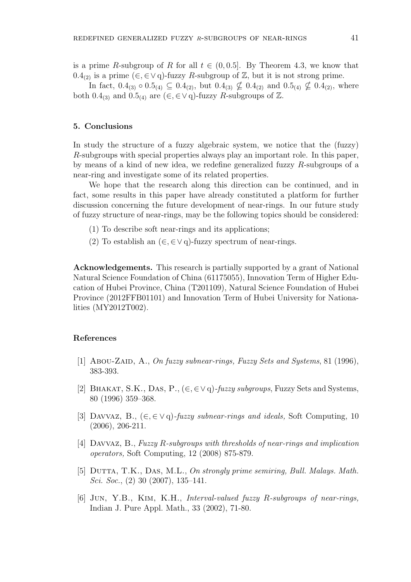is a prime *R*-subgroup of *R* for all  $t \in (0, 0.5]$ . By Theorem 4.3, we know that 0.4<sub>(2)</sub> is a prime ( $∈, ∈∨$ q)-fuzzy *R*-subgroup of  $\mathbb{Z}$ , but it is not strong prime.

In fact, 0*.*4<sub>(3)</sub>  $\circ$  0*.*5<sub>(4)</sub>  $\subseteq$  0*.*4<sub>(2)</sub>, but 0*.*4<sub>(3)</sub>  $\nsubseteq$  0*.*4<sub>(2)</sub> and 0*.*5<sub>(4)</sub>  $\nsubseteq$  0*.*4<sub>(2)</sub>, where both 0.4<sub>(3)</sub> and 0.5<sub>(4)</sub> are  $(\in, \in \vee \neq)$ -fuzzy *R*-subgroups of  $\mathbb{Z}$ .

# **5. Conclusions**

In study the structure of a fuzzy algebraic system, we notice that the (fuzzy) *R*-subgroups with special properties always play an important role. In this paper, by means of a kind of new idea, we redefine generalized fuzzy *R*-subgroups of a near-ring and investigate some of its related properties.

We hope that the research along this direction can be continued, and in fact, some results in this paper have already constituted a platform for further discussion concerning the future development of near-rings. In our future study of fuzzy structure of near-rings, may be the following topics should be considered:

- (1) To describe soft near-rings and its applications;
- (2) To establish an (*∈, ∈∨* q)-fuzzy spectrum of near-rings.

**Acknowledgements.** This research is partially supported by a grant of National Natural Science Foundation of China (61175055), Innovation Term of Higher Education of Hubei Province, China (T201109), Natural Science Foundation of Hubei Province (2012FFB01101) and Innovation Term of Hubei University for Nationalities (MY2012T002).

# **References**

- [1] Abou-Zaid, A., *On fuzzy subnear-rings, Fuzzy Sets and Systems*, 81 (1996), 383-393.
- [2] Bhakat, S.K., Das, P., (*∈,∈∨* q)*-fuzzy subgroups*, Fuzzy Sets and Systems, 80 (1996) 359–368.
- [3] Davvaz, B., (*∈,∈ ∨* q)*-fuzzy subnear-rings and ideals,* Soft Computing, 10 (2006), 206-211.
- [4] Davvaz, B., *Fuzzy R-subgroups with thresholds of near-rings and implication operators,* Soft Computing, 12 (2008) 875-879.
- [5] Dutta, T.K., Das, M.L., *On strongly prime semiring, Bull. Malays. Math. Sci. Soc.*, (2) 30 (2007), 135–141.
- [6] Jun, Y.B., Kim, K.H., *Interval-valued fuzzy R-subgroups of near-rings,* Indian J. Pure Appl. Math., 33 (2002), 71-80.